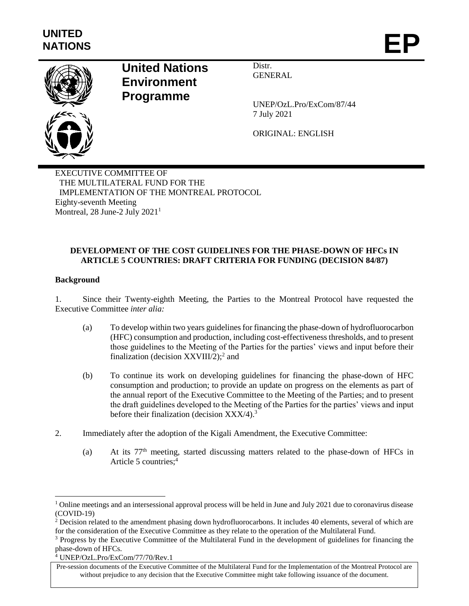

# **United Nations Environment Programme**

Distr. GENERAL

UNEP/OzL.Pro/ExCom/87/44 7 July 2021

ORIGINAL: ENGLISH

EXECUTIVE COMMITTEE OF THE MULTILATERAL FUND FOR THE IMPLEMENTATION OF THE MONTREAL PROTOCOL Eighty-seventh Meeting Montreal, 28 June-2 July 2021<sup>1</sup>

## **DEVELOPMENT OF THE COST GUIDELINES FOR THE PHASE-DOWN OF HFCs IN ARTICLE 5 COUNTRIES: DRAFT CRITERIA FOR FUNDING (DECISION 84/87)**

## **Background**

 $\overline{a}$ 

1. Since their Twenty-eighth Meeting, the Parties to the Montreal Protocol have requested the Executive Committee *inter alia:*

- (a) To develop within two years guidelines for financing the phase-down of hydrofluorocarbon (HFC) consumption and production, including cost-effectiveness thresholds, and to present those guidelines to the Meeting of the Parties for the parties' views and input before their finalization (decision  $XXVIII/2$ );<sup>2</sup> and
- (b) To continue its work on developing guidelines for financing the phase-down of HFC consumption and production; to provide an update on progress on the elements as part of the annual report of the Executive Committee to the Meeting of the Parties; and to present the draft guidelines developed to the Meeting of the Parties for the parties' views and input before their finalization (decision XXX/4).<sup>3</sup>
- 2. Immediately after the adoption of the Kigali Amendment, the Executive Committee:
	- (a) At its  $77<sup>th</sup>$  meeting, started discussing matters related to the phase-down of HFCs in Article 5 countries;<sup>4</sup>

 $1$  Online meetings and an intersessional approval process will be held in June and July 2021 due to coronavirus disease (COVID-19)

<sup>&</sup>lt;sup>2</sup> Decision related to the amendment phasing down hydrofluorocarbons. It includes 40 elements, several of which are for the consideration of the Executive Committee as they relate to the operation of the Multilateral Fund.

<sup>&</sup>lt;sup>3</sup> Progress by the Executive Committee of the Multilateral Fund in the development of guidelines for financing the phase-down of HFCs.

<sup>4</sup> UNEP/OzL.Pro/ExCom/77/70/Rev.1

Pre-session documents of the Executive Committee of the Multilateral Fund for the Implementation of the Montreal Protocol are without prejudice to any decision that the Executive Committee might take following issuance of the document.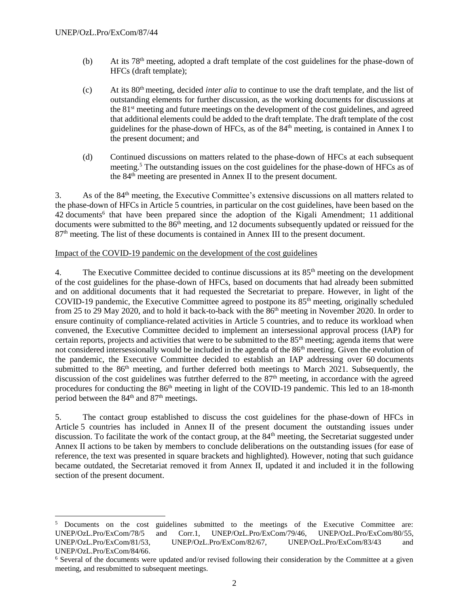l

- (b) At its  $78<sup>th</sup>$  meeting, adopted a draft template of the cost guidelines for the phase-down of HFCs (draft template);
- (c) At its 80th meeting, decided *inter alia* to continue to use the draft template, and the list of outstanding elements for further discussion, as the working documents for discussions at the 81st meeting and future meetings on the development of the cost guidelines, and agreed that additional elements could be added to the draft template. The draft template of the cost guidelines for the phase-down of HFCs, as of the  $84<sup>th</sup>$  meeting, is contained in Annex I to the present document; and
- (d) Continued discussions on matters related to the phase-down of HFCs at each subsequent meeting.<sup>5</sup> The outstanding issues on the cost guidelines for the phase-down of HFCs as of the 84th meeting are presented in Annex II to the present document.

3. As of the 84th meeting, the Executive Committee's extensive discussions on all matters related to the phase-down of HFCs in Article 5 countries, in particular on the cost guidelines, have been based on the 42 documents<sup>6</sup> that have been prepared since the adoption of the Kigali Amendment; 11 additional documents were submitted to the 86<sup>th</sup> meeting, and 12 documents subsequently updated or reissued for the 87th meeting. The list of these documents is contained in Annex III to the present document.

#### Impact of the COVID-19 pandemic on the development of the cost guidelines

4. The Executive Committee decided to continue discussions at its 85<sup>th</sup> meeting on the development of the cost guidelines for the phase-down of HFCs, based on documents that had already been submitted and on additional documents that it had requested the Secretariat to prepare. However, in light of the COVID-19 pandemic, the Executive Committee agreed to postpone its  $85<sup>th</sup>$  meeting, originally scheduled from 25 to 29 May 2020, and to hold it back-to-back with the 86<sup>th</sup> meeting in November 2020. In order to ensure continuity of compliance-related activities in Article 5 countries, and to reduce its workload when convened, the Executive Committee decided to implement an intersessional approval process (IAP) for certain reports, projects and activities that were to be submitted to the 85<sup>th</sup> meeting; agenda items that were not considered intersessionally would be included in the agenda of the 86<sup>th</sup> meeting. Given the evolution of the pandemic, the Executive Committee decided to establish an IAP addressing over 60 documents submitted to the  $86<sup>th</sup>$  meeting, and further deferred both meetings to March 2021. Subsequently, the discussion of the cost guidelines was futrther deferred to the 87<sup>th</sup> meeting, in accordance with the agreed procedures for conducting the 86<sup>th</sup> meeting in light of the COVID-19 pandemic. This led to an 18-month period between the 84<sup>th</sup> and 87<sup>th</sup> meetings.

5. The contact group established to discuss the cost guidelines for the phase-down of HFCs in Article 5 countries has included in Annex II of the present document the outstanding issues under discussion. To facilitate the work of the contact group, at the 84<sup>th</sup> meeting, the Secretariat suggested under Annex II actions to be taken by members to conclude deliberations on the outstanding issues (for ease of reference, the text was presented in square brackets and highlighted). However, noting that such guidance became outdated, the Secretariat removed it from Annex II, updated it and included it in the following section of the present document.

<sup>&</sup>lt;sup>5</sup> Documents on the cost guidelines submitted to the meetings of the Executive Committee are: UNEP/OzL.Pro/ExCom/78/5 and Corr.1, UNEP/OzL.Pro/ExCom/79/46, UNEP/OzL.Pro/ExCom/80/55, UNEP/OzL.Pro/ExCom/81/53, UNEP/OzL.Pro/ExCom/82/67, UNEP/OzL.Pro/ExCom/83/43 and UNEP/OzL.Pro/ExCom/84/66.

<sup>6</sup> Several of the documents were updated and/or revised following their consideration by the Committee at a given meeting, and resubmitted to subsequent meetings.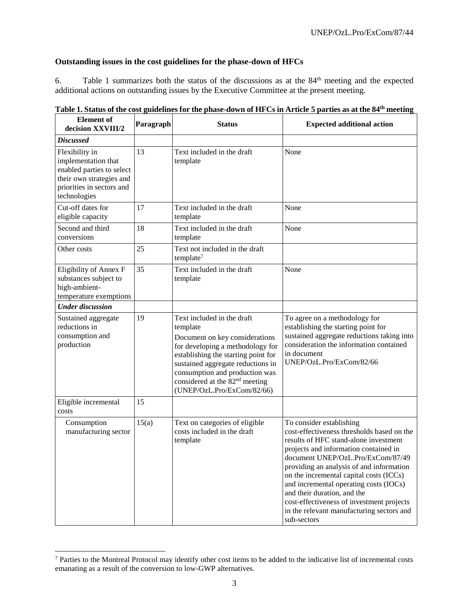## **Outstanding issues in the cost guidelines for the phase-down of HFCs**

6. Table 1 summarizes both the status of the discussions as at the 84th meeting and the expected additional actions on outstanding issues by the Executive Committee at the present meeting.

| <b>Element</b> of<br>decision XXVIII/2                                                                                                      | Paragraph | <b>Status</b>                                                                                                                                                                                                                                                                                          | <b>Expected additional action</b>                                                                                                                                                                                                                                                                                                                                                                                                                                      |
|---------------------------------------------------------------------------------------------------------------------------------------------|-----------|--------------------------------------------------------------------------------------------------------------------------------------------------------------------------------------------------------------------------------------------------------------------------------------------------------|------------------------------------------------------------------------------------------------------------------------------------------------------------------------------------------------------------------------------------------------------------------------------------------------------------------------------------------------------------------------------------------------------------------------------------------------------------------------|
| <b>Discussed</b>                                                                                                                            |           |                                                                                                                                                                                                                                                                                                        |                                                                                                                                                                                                                                                                                                                                                                                                                                                                        |
| Flexibility in<br>implementation that<br>enabled parties to select<br>their own strategies and<br>priorities in sectors and<br>technologies | 13        | Text included in the draft<br>template                                                                                                                                                                                                                                                                 | None                                                                                                                                                                                                                                                                                                                                                                                                                                                                   |
| Cut-off dates for<br>eligible capacity                                                                                                      | 17        | Text included in the draft<br>template                                                                                                                                                                                                                                                                 | None                                                                                                                                                                                                                                                                                                                                                                                                                                                                   |
| Second and third<br>conversions                                                                                                             | 18        | Text included in the draft<br>template                                                                                                                                                                                                                                                                 | None                                                                                                                                                                                                                                                                                                                                                                                                                                                                   |
| Other costs                                                                                                                                 | 25        | Text not included in the draft<br>template <sup>7</sup>                                                                                                                                                                                                                                                |                                                                                                                                                                                                                                                                                                                                                                                                                                                                        |
| Eligibility of Annex F<br>substances subject to<br>high-ambient-<br>temperature exemptions                                                  | 35        | Text included in the draft<br>template                                                                                                                                                                                                                                                                 | None                                                                                                                                                                                                                                                                                                                                                                                                                                                                   |
| <b>Under discussion</b>                                                                                                                     |           |                                                                                                                                                                                                                                                                                                        |                                                                                                                                                                                                                                                                                                                                                                                                                                                                        |
| Sustained aggregate<br>reductions in<br>consumption and<br>production                                                                       | 19        | Text included in the draft<br>template<br>Document on key considerations<br>for developing a methodology for<br>establishing the starting point for<br>sustained aggregate reductions in<br>consumption and production was<br>considered at the 82 <sup>nd</sup> meeting<br>(UNEP/OzL.Pro/ExCom/82/66) | To agree on a methodology for<br>establishing the starting point for<br>sustained aggregate reductions taking into<br>consideration the information contained<br>in document<br>UNEP/OzL.Pro/ExCom/82/66                                                                                                                                                                                                                                                               |
| Eligible incremental<br>costs                                                                                                               | 15        |                                                                                                                                                                                                                                                                                                        |                                                                                                                                                                                                                                                                                                                                                                                                                                                                        |
| Consumption<br>manufacturing sector                                                                                                         | 15(a)     | Text on categories of eligible<br>costs included in the draft<br>template                                                                                                                                                                                                                              | To consider establishing<br>cost-effectiveness thresholds based on the<br>results of HFC stand-alone investment<br>projects and information contained in<br>document UNEP/OzL.Pro/ExCom/87/49<br>providing an analysis of and information<br>on the incremental capital costs (ICCs)<br>and incremental operating costs (IOCs)<br>and their duration, and the<br>cost-effectiveness of investment projects<br>in the relevant manufacturing sectors and<br>sub-sectors |

**Table 1. Status of the cost guidelines for the phase-down of HFCs in Article 5 parties as at the 84th meeting**

l

<sup>7</sup> Parties to the Montreal Protocol may identify other cost items to be added to the indicative list of incremental costs emanating as a result of the conversion to low-GWP alternatives.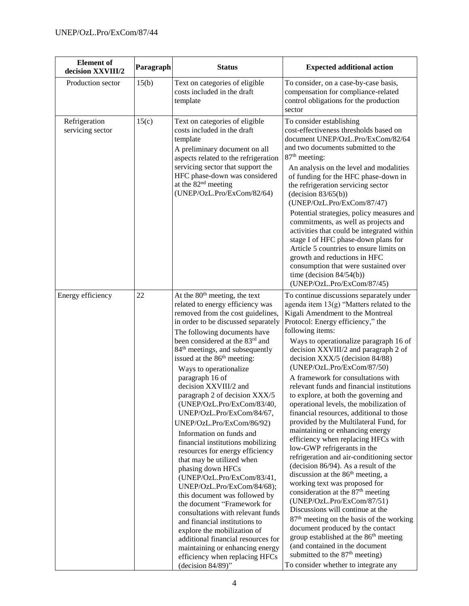| <b>Element</b> of<br>decision XXVIII/2 | Paragraph | <b>Status</b>                                                                                                                                                                                                                                                                                                                                                                                                                                                                                                                                                                                                                                                                                                                                                                                                                                                                                                                                                                                                                         | <b>Expected additional action</b>                                                                                                                                                                                                                                                                                                                                                                                                                                                                                                                                                                                                                                                                                                                                                                                                                                                                                                                                                                                                                                                                                                                                                                                                                  |
|----------------------------------------|-----------|---------------------------------------------------------------------------------------------------------------------------------------------------------------------------------------------------------------------------------------------------------------------------------------------------------------------------------------------------------------------------------------------------------------------------------------------------------------------------------------------------------------------------------------------------------------------------------------------------------------------------------------------------------------------------------------------------------------------------------------------------------------------------------------------------------------------------------------------------------------------------------------------------------------------------------------------------------------------------------------------------------------------------------------|----------------------------------------------------------------------------------------------------------------------------------------------------------------------------------------------------------------------------------------------------------------------------------------------------------------------------------------------------------------------------------------------------------------------------------------------------------------------------------------------------------------------------------------------------------------------------------------------------------------------------------------------------------------------------------------------------------------------------------------------------------------------------------------------------------------------------------------------------------------------------------------------------------------------------------------------------------------------------------------------------------------------------------------------------------------------------------------------------------------------------------------------------------------------------------------------------------------------------------------------------|
| Production sector                      | 15(b)     | Text on categories of eligible<br>costs included in the draft<br>template                                                                                                                                                                                                                                                                                                                                                                                                                                                                                                                                                                                                                                                                                                                                                                                                                                                                                                                                                             | To consider, on a case-by-case basis,<br>compensation for compliance-related<br>control obligations for the production<br>sector                                                                                                                                                                                                                                                                                                                                                                                                                                                                                                                                                                                                                                                                                                                                                                                                                                                                                                                                                                                                                                                                                                                   |
| Refrigeration<br>servicing sector      | 15(c)     | Text on categories of eligible<br>costs included in the draft<br>template<br>A preliminary document on all<br>aspects related to the refrigeration<br>servicing sector that support the<br>HFC phase-down was considered<br>at the $82nd$ meeting<br>(UNEP/OzL.Pro/ExCom/82/64)                                                                                                                                                                                                                                                                                                                                                                                                                                                                                                                                                                                                                                                                                                                                                       | To consider establishing<br>cost-effectiveness thresholds based on<br>document UNEP/OzL.Pro/ExCom/82/64<br>and two documents submitted to the<br>87 <sup>th</sup> meeting:<br>An analysis on the level and modalities<br>of funding for the HFC phase-down in<br>the refrigeration servicing sector<br>(decision 83/65(b))<br>(UNEP/OzL.Pro/ExCom/87/47)<br>Potential strategies, policy measures and<br>commitments, as well as projects and<br>activities that could be integrated within<br>stage I of HFC phase-down plans for<br>Article 5 countries to ensure limits on<br>growth and reductions in HFC<br>consumption that were sustained over<br>time (decision $84/54(b)$ )<br>(UNEP/OzL.Pro/ExCom/87/45)                                                                                                                                                                                                                                                                                                                                                                                                                                                                                                                                 |
| Energy efficiency                      | 22        | At the $80th$ meeting, the text<br>related to energy efficiency was<br>removed from the cost guidelines,<br>in order to be discussed separately<br>The following documents have<br>been considered at the 83rd and<br>84 <sup>th</sup> meetings, and subsequently<br>issued at the 86 <sup>th</sup> meeting:<br>Ways to operationalize<br>paragraph 16 of<br>decision XXVIII/2 and<br>paragraph 2 of decision XXX/5<br>(UNEP/OzL.Pro/ExCom/83/40,<br>UNEP/OzL.Pro/ExCom/84/67,<br>UNEP/OzL.Pro/ExCom/86/92)<br>Information on funds and<br>financial institutions mobilizing<br>resources for energy efficiency<br>that may be utilized when<br>phasing down HFCs<br>(UNEP/OzL.Pro/ExCom/83/41,<br>UNEP/OzL.Pro/ExCom/84/68);<br>this document was followed by<br>the document "Framework for<br>consultations with relevant funds<br>and financial institutions to<br>explore the mobilization of<br>additional financial resources for<br>maintaining or enhancing energy<br>efficiency when replacing HFCs<br>(decision $84/89$ )" | To continue discussions separately under<br>agenda item $13(g)$ "Matters related to the<br>Kigali Amendment to the Montreal<br>Protocol: Energy efficiency," the<br>following items:<br>Ways to operationalize paragraph 16 of<br>decision XXVIII/2 and paragraph 2 of<br>decision XXX/5 (decision 84/88)<br>(UNEP/OzL.Pro/ExCom/87/50)<br>A framework for consultations with<br>relevant funds and financial institutions<br>to explore, at both the governing and<br>operational levels, the mobilization of<br>financial resources, additional to those<br>provided by the Multilateral Fund, for<br>maintaining or enhancing energy<br>efficiency when replacing HFCs with<br>low-GWP refrigerants in the<br>refrigeration and air-conditioning sector<br>(decision 86/94). As a result of the<br>discussion at the $86th$ meeting, a<br>working text was proposed for<br>consideration at the 87 <sup>th</sup> meeting<br>(UNEP/OzL.Pro/ExCom/87/51)<br>Discussions will continue at the<br>$87th$ meeting on the basis of the working<br>document produced by the contact<br>group established at the 86 <sup>th</sup> meeting<br>(and contained in the document<br>submitted to the $87th$ meeting)<br>To consider whether to integrate any |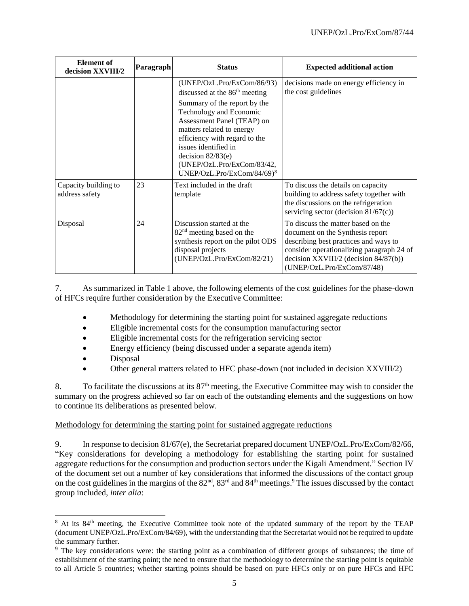| <b>Element</b> of<br>decision XXVIII/2 | Paragraph | <b>Status</b>                                                                                                                                                                                                                                                                                                                             | <b>Expected additional action</b>                                                                                                                                                                                                      |
|----------------------------------------|-----------|-------------------------------------------------------------------------------------------------------------------------------------------------------------------------------------------------------------------------------------------------------------------------------------------------------------------------------------------|----------------------------------------------------------------------------------------------------------------------------------------------------------------------------------------------------------------------------------------|
|                                        |           | (UNEP/OzL.Pro/ExCom/86/93)<br>discussed at the 86 <sup>th</sup> meeting<br>Summary of the report by the<br>Technology and Economic<br>Assessment Panel (TEAP) on<br>matters related to energy<br>efficiency with regard to the<br>issues identified in<br>decision $82/83(e)$<br>(UNEP/OzL.Pro/ExCom/83/42,<br>UNEP/OzL.Pro/ExCom/84/69)8 | decisions made on energy efficiency in<br>the cost guidelines                                                                                                                                                                          |
| Capacity building to<br>address safety | 23        | Text included in the draft<br>template                                                                                                                                                                                                                                                                                                    | To discuss the details on capacity<br>building to address safety together with<br>the discussions on the refrigeration<br>servicing sector (decision $81/67(c)$ )                                                                      |
| Disposal                               | 24        | Discussion started at the<br>82 <sup>nd</sup> meeting based on the<br>synthesis report on the pilot ODS<br>disposal projects<br>(UNEP/OzL.Pro/ExCom/82/21)                                                                                                                                                                                | To discuss the matter based on the<br>document on the Synthesis report<br>describing best practices and ways to<br>consider operationalizing paragraph 24 of<br>decision XXVIII/2 (decision $84/87(b)$ )<br>(UNEP/OzL.Pro/ExCom/87/48) |

7. As summarized in Table 1 above, the following elements of the cost guidelines for the phase-down of HFCs require further consideration by the Executive Committee:

- Methodology for determining the starting point for sustained aggregate reductions
- Eligible incremental costs for the consumption manufacturing sector
- Eligible incremental costs for the refrigeration servicing sector
- Energy efficiency (being discussed under a separate agenda item)
- Disposal
- Other general matters related to HFC phase-down (not included in decision XXVIII/2)

8. To facilitate the discussions at its  $87<sup>th</sup>$  meeting, the Executive Committee may wish to consider the summary on the progress achieved so far on each of the outstanding elements and the suggestions on how to continue its deliberations as presented below.

## Methodology for determining the starting point for sustained aggregate reductions

9. In response to decision 81/67(e), the Secretariat prepared document UNEP/OzL.Pro/ExCom/82/66, "Key considerations for developing a methodology for establishing the starting point for sustained aggregate reductions for the consumption and production sectors under the Kigali Amendment." Section IV of the document set out a number of key considerations that informed the discussions of the contact group on the cost guidelines in the margins of the 82<sup>nd</sup>, 83<sup>rd</sup> and 84<sup>th</sup> meetings.<sup>9</sup> The issues discussed by the contact group included, *inter alia*:

l <sup>8</sup> At its 84<sup>th</sup> meeting, the Executive Committee took note of the updated summary of the report by the TEAP (document UNEP/OzL.Pro/ExCom/84/69), with the understanding that the Secretariat would not be required to update the summary further.

<sup>&</sup>lt;sup>9</sup> The key considerations were: the starting point as a combination of different groups of substances; the time of establishment of the starting point; the need to ensure that the methodology to determine the starting point is equitable to all Article 5 countries; whether starting points should be based on pure HFCs only or on pure HFCs and HFC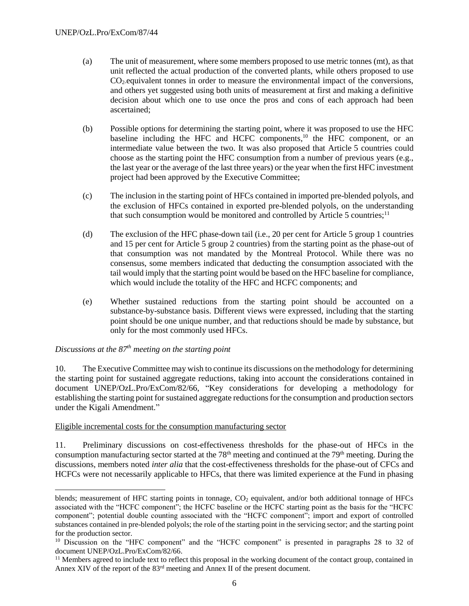- (a) The unit of measurement, where some members proposed to use metric tonnes (mt), as that unit reflected the actual production of the converted plants, while others proposed to use CO2-equivalent tonnes in order to measure the environmental impact of the conversions, and others yet suggested using both units of measurement at first and making a definitive decision about which one to use once the pros and cons of each approach had been ascertained;
- (b) Possible options for determining the starting point, where it was proposed to use the HFC baseline including the HFC and HCFC components,<sup>10</sup> the HFC component, or an intermediate value between the two. It was also proposed that Article 5 countries could choose as the starting point the HFC consumption from a number of previous years (e.g., the last year or the average of the last three years) or the year when the first HFC investment project had been approved by the Executive Committee;
- (c) The inclusion in the starting point of HFCs contained in imported pre-blended polyols, and the exclusion of HFCs contained in exported pre-blended polyols, on the understanding that such consumption would be monitored and controlled by Article 5 countries;<sup>11</sup>
- (d) The exclusion of the HFC phase-down tail (i.e., 20 per cent for Article 5 group 1 countries and 15 per cent for Article 5 group 2 countries) from the starting point as the phase-out of that consumption was not mandated by the Montreal Protocol. While there was no consensus, some members indicated that deducting the consumption associated with the tail would imply that the starting point would be based on the HFC baseline for compliance, which would include the totality of the HFC and HCFC components; and
- (e) Whether sustained reductions from the starting point should be accounted on a substance-by-substance basis. Different views were expressed, including that the starting point should be one unique number, and that reductions should be made by substance, but only for the most commonly used HFCs.

# *Discussions at the 87th meeting on the starting point*

l

10. The Executive Committee may wish to continue its discussions on the methodology for determining the starting point for sustained aggregate reductions, taking into account the considerations contained in document UNEP/OzL.Pro/ExCom/82/66, "Key considerations for developing a methodology for establishing the starting point for sustained aggregate reductions for the consumption and production sectors under the Kigali Amendment."

#### Eligible incremental costs for the consumption manufacturing sector

11. Preliminary discussions on cost-effectiveness thresholds for the phase-out of HFCs in the consumption manufacturing sector started at the  $78<sup>th</sup>$  meeting and continued at the  $79<sup>th</sup>$  meeting. During the discussions, members noted *inter alia* that the cost-effectiveness thresholds for the phase-out of CFCs and HCFCs were not necessarily applicable to HFCs, that there was limited experience at the Fund in phasing

blends; measurement of HFC starting points in tonnage,  $CO<sub>2</sub>$  equivalent, and/or both additional tonnage of HFCs associated with the "HCFC component"; the HCFC baseline or the HCFC starting point as the basis for the "HCFC component"; potential double counting associated with the "HCFC component"; import and export of controlled substances contained in pre-blended polyols; the role of the starting point in the servicing sector; and the starting point for the production sector.

<sup>&</sup>lt;sup>10</sup> Discussion on the "HFC component" and the "HCFC component" is presented in paragraphs 28 to 32 of document UNEP/OzL.Pro/ExCom/82/66.

 $11$  Members agreed to include text to reflect this proposal in the working document of the contact group, contained in Annex XIV of the report of the 83rd meeting and Annex II of the present document.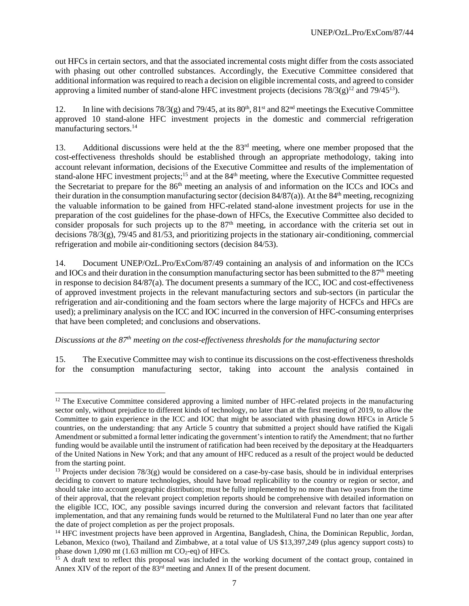out HFCs in certain sectors, and that the associated incremental costs might differ from the costs associated with phasing out other controlled substances. Accordingly, the Executive Committee considered that additional information was required to reach a decision on eligible incremental costs, and agreed to consider approving a limited number of stand-alone HFC investment projects (decisions  $78/3(g)^{12}$  and  $79/45^{13}$ ).

12. In line with decisions  $78/3(g)$  and  $79/45$ , at its  $80<sup>th</sup>$ ,  $81<sup>st</sup>$  and  $82<sup>nd</sup>$  meetings the Executive Committee approved 10 stand-alone HFC investment projects in the domestic and commercial refrigeration manufacturing sectors.<sup>14</sup>

13. Additional discussions were held at the the 83<sup>rd</sup> meeting, where one member proposed that the cost-effectiveness thresholds should be established through an appropriate methodology, taking into account relevant information, decisions of the Executive Committee and results of the implementation of stand-alone HFC investment projects;<sup>15</sup> and at the 84<sup>th</sup> meeting, where the Executive Committee requested the Secretariat to prepare for the 86<sup>th</sup> meeting an analysis of and information on the ICCs and IOCs and their duration in the consumption manufacturing sector (decision  $84/87(a)$ ). At the  $84<sup>th</sup>$  meeting, recognizing the valuable information to be gained from HFC-related stand-alone investment projects for use in the preparation of the cost guidelines for the phase-down of HFCs, the Executive Committee also decided to consider proposals for such projects up to the  $87<sup>th</sup>$  meeting, in accordance with the criteria set out in decisions 78/3(g), 79/45 and 81/53, and prioritizing projects in the stationary air-conditioning, commercial refrigeration and mobile air-conditioning sectors (decision 84/53).

14. Document UNEP/OzL.Pro/ExCom/87/49 containing an analysis of and information on the ICCs and IOCs and their duration in the consumption manufacturing sector has been submitted to the 87<sup>th</sup> meeting in response to decision 84/87(a). The document presents a summary of the ICC, IOC and cost-effectiveness of approved investment projects in the relevant manufacturing sectors and sub-sectors (in particular the refrigeration and air-conditioning and the foam sectors where the large majority of HCFCs and HFCs are used); a preliminary analysis on the ICC and IOC incurred in the conversion of HFC-consuming enterprises that have been completed; and conclusions and observations.

*Discussions at the 87 th meeting on the cost-effectiveness thresholds for the manufacturing sector*

15. The Executive Committee may wish to continue its discussions on the cost-effectiveness thresholds for the consumption manufacturing sector, taking into account the analysis contained in

l <sup>12</sup> The Executive Committee considered approving a limited number of HFC-related projects in the manufacturing sector only, without prejudice to different kinds of technology, no later than at the first meeting of 2019, to allow the Committee to gain experience in the ICC and IOC that might be associated with phasing down HFCs in Article 5 countries, on the understanding: that any Article 5 country that submitted a project should have ratified the Kigali Amendment or submitted a formal letter indicating the government's intention to ratify the Amendment; that no further funding would be available until the instrument of ratification had been received by the depositary at the Headquarters of the United Nations in New York; and that any amount of HFC reduced as a result of the project would be deducted from the starting point.

<sup>&</sup>lt;sup>13</sup> Projects under decision  $78/3(g)$  would be considered on a case-by-case basis, should be in individual enterprises deciding to convert to mature technologies, should have broad replicability to the country or region or sector, and should take into account geographic distribution; must be fully implemented by no more than two years from the time of their approval, that the relevant project completion reports should be comprehensive with detailed information on the eligible ICC, IOC, any possible savings incurred during the conversion and relevant factors that facilitated implementation, and that any remaining funds would be returned to the Multilateral Fund no later than one year after the date of project completion as per the project proposals.

<sup>&</sup>lt;sup>14</sup> HFC investment projects have been approved in Argentina, Bangladesh, China, the Dominican Republic, Jordan, Lebanon, Mexico (two), Thailand and Zimbabwe, at a total value of US \$13,397,249 (plus agency support costs) to phase down 1,090 mt (1.63 million mt  $CO<sub>2</sub>$ -eq) of HFCs.

 $15$  A draft text to reflect this proposal was included in the working document of the contact group, contained in Annex XIV of the report of the 83rd meeting and Annex II of the present document.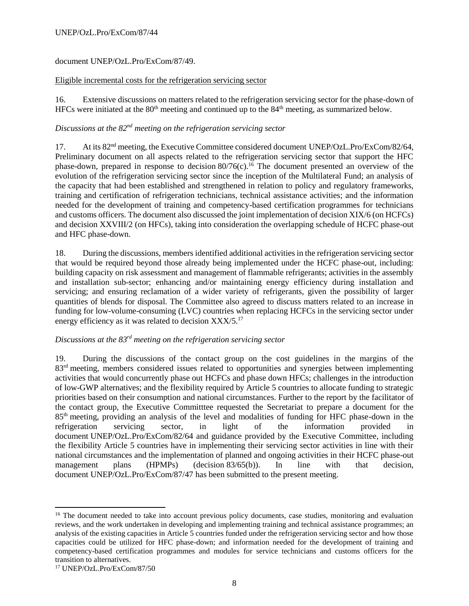### UNEP/OzL.Pro/ExCom/87/44

## document UNEP/OzL.Pro/ExCom/87/49.

#### Eligible incremental costs for the refrigeration servicing sector

16. Extensive discussions on matters related to the refrigeration servicing sector for the phase-down of HFCs were initiated at the  $80<sup>th</sup>$  meeting and continued up to the  $84<sup>th</sup>$  meeting, as summarized below.

## *Discussions at the 82nd meeting on the refrigeration servicing sector*

17. At its 82<sup>nd</sup> meeting, the Executive Committee considered document UNEP/OzL.Pro/ExCom/82/64, Preliminary document on all aspects related to the refrigeration servicing sector that support the HFC phase-down, prepared in response to decision  $80/76(c)$ .<sup>16</sup> The document presented an overview of the evolution of the refrigeration servicing sector since the inception of the Multilateral Fund; an analysis of the capacity that had been established and strengthened in relation to policy and regulatory frameworks, training and certification of refrigeration technicians, technical assistance activities; and the information needed for the development of training and competency-based certification programmes for technicians and customs officers. The document also discussed the joint implementation of decision XIX/6 (on HCFCs) and decision XXVIII/2 (on HFCs), taking into consideration the overlapping schedule of HCFC phase-out and HFC phase-down.

18. During the discussions, members identified additional activities in the refrigeration servicing sector that would be required beyond those already being implemented under the HCFC phase-out, including: building capacity on risk assessment and management of flammable refrigerants; activities in the assembly and installation sub-sector; enhancing and/or maintaining energy efficiency during installation and servicing; and ensuring reclamation of a wider variety of refrigerants, given the possibility of larger quantities of blends for disposal. The Committee also agreed to discuss matters related to an increase in funding for low-volume-consuming (LVC) countries when replacing HCFCs in the servicing sector under energy efficiency as it was related to decision XXX/5.<sup>17</sup>

## *Discussions at the 83rd meeting on the refrigeration servicing sector*

19. During the discussions of the contact group on the cost guidelines in the margins of the 83<sup>rd</sup> meeting, members considered issues related to opportunities and synergies between implementing activities that would concurrently phase out HCFCs and phase down HFCs; challenges in the introduction of low-GWP alternatives; and the flexibility required by Article 5 countries to allocate funding to strategic priorities based on their consumption and national circumstances. Further to the report by the facilitator of the contact group, the Executive Committtee requested the Secretariat to prepare a document for the 85th meeting, providing an analysis of the level and modalities of funding for HFC phase-down in the refrigeration servicing sector, in light of the information provided in document UNEP/OzL.Pro/ExCom/82/64 and guidance provided by the Executive Committee, including the flexibility Article 5 countries have in implementing their servicing sector activities in line with their national circumstances and the implementation of planned and ongoing activities in their HCFC phase-out management plans (HPMPs) (decision 83/65(b)). In line with that decision, document UNEP/OzL.Pro/ExCom/87/47 has been submitted to the present meeting.

 $\overline{a}$ 

<sup>&</sup>lt;sup>16</sup> The document needed to take into account previous policy documents, case studies, monitoring and evaluation reviews, and the work undertaken in developing and implementing training and technical assistance programmes; an analysis of the existing capacities in Article 5 countries funded under the refrigeration servicing sector and how those capacities could be utilized for HFC phase-down; and information needed for the development of training and competency-based certification programmes and modules for service technicians and customs officers for the transition to alternatives.

<sup>17</sup> UNEP/OzL.Pro/ExCom/87/50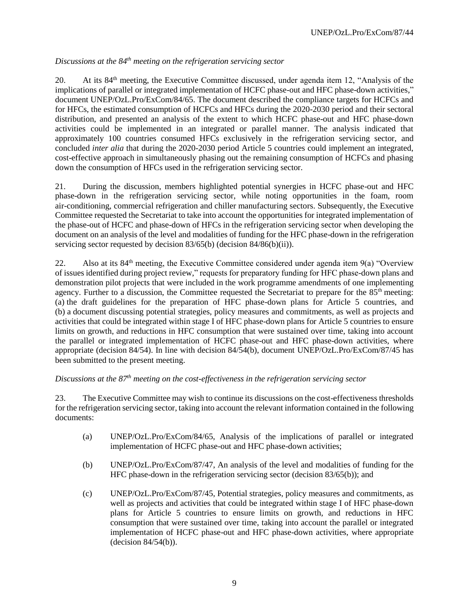# *Discussions at the 84th meeting on the refrigeration servicing sector*

20. At its 84th meeting, the Executive Committee discussed, under agenda item 12, "Analysis of the implications of parallel or integrated implementation of HCFC phase-out and HFC phase-down activities," document UNEP/OzL.Pro/ExCom/84/65. The document described the compliance targets for HCFCs and for HFCs, the estimated consumption of HCFCs and HFCs during the 2020-2030 period and their sectoral distribution, and presented an analysis of the extent to which HCFC phase-out and HFC phase-down activities could be implemented in an integrated or parallel manner. The analysis indicated that approximately 100 countries consumed HFCs exclusively in the refrigeration servicing sector, and concluded *inter alia* that during the 2020-2030 period Article 5 countries could implement an integrated, cost-effective approach in simultaneously phasing out the remaining consumption of HCFCs and phasing down the consumption of HFCs used in the refrigeration servicing sector.

21. During the discussion, members highlighted potential synergies in HCFC phase-out and HFC phase-down in the refrigeration servicing sector, while noting opportunities in the foam, room air-conditioning, commercial refrigeration and chiller manufacturing sectors. Subsequently, the Executive Committee requested the Secretariat to take into account the opportunities for integrated implementation of the phase-out of HCFC and phase-down of HFCs in the refrigeration servicing sector when developing the document on an analysis of the level and modalities of funding for the HFC phase-down in the refrigeration servicing sector requested by decision 83/65(b) (decision 84/86(b)(ii)).

22. Also at its  $84<sup>th</sup>$  meeting, the Executive Committee considered under agenda item  $9(a)$  "Overview" of issues identified during project review," requests for preparatory funding for HFC phase-down plans and demonstration pilot projects that were included in the work programme amendments of one implementing agency. Further to a discussion, the Committee requested the Secretariat to prepare for the 85<sup>th</sup> meeting: (a) the draft guidelines for the preparation of HFC phase-down plans for Article 5 countries, and (b) a document discussing potential strategies, policy measures and commitments, as well as projects and activities that could be integrated within stage I of HFC phase-down plans for Article 5 countries to ensure limits on growth, and reductions in HFC consumption that were sustained over time, taking into account the parallel or integrated implementation of HCFC phase-out and HFC phase-down activities, where appropriate (decision 84/54). In line with decision 84/54(b), document UNEP/OzL.Pro/ExCom/87/45 has been submitted to the present meeting.

## *Discussions at the 87 th meeting on the cost-effectiveness in the refrigeration servicing sector*

23. The Executive Committee may wish to continue its discussions on the cost-effectiveness thresholds for the refrigeration servicing sector, taking into account the relevant information contained in the following documents:

- (a) UNEP/OzL.Pro/ExCom/84/65, Analysis of the implications of parallel or integrated implementation of HCFC phase-out and HFC phase-down activities;
- (b) UNEP/OzL.Pro/ExCom/87/47, An analysis of the level and modalities of funding for the HFC phase-down in the refrigeration servicing sector (decision 83/65(b)); and
- (c) UNEP/OzL.Pro/ExCom/87/45, Potential strategies, policy measures and commitments, as well as projects and activities that could be integrated within stage I of HFC phase-down plans for Article 5 countries to ensure limits on growth, and reductions in HFC consumption that were sustained over time, taking into account the parallel or integrated implementation of HCFC phase-out and HFC phase-down activities, where appropriate (decision 84/54(b)).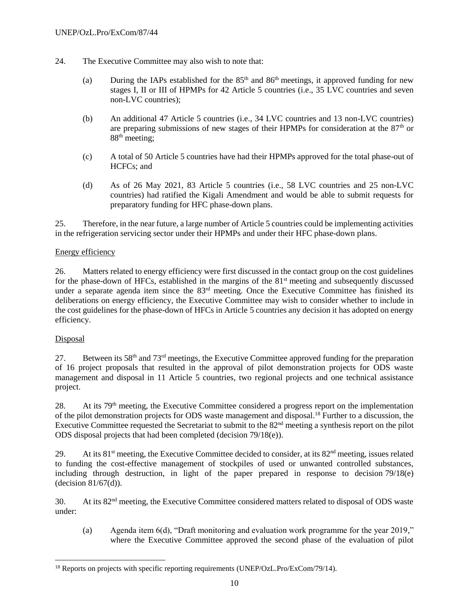- 24. The Executive Committee may also wish to note that:
	- (a) During the IAPs established for the  $85<sup>th</sup>$  and  $86<sup>th</sup>$  meetings, it approved funding for new stages I, II or III of HPMPs for 42 Article 5 countries (i.e., 35 LVC countries and seven non-LVC countries);
	- (b) An additional 47 Article 5 countries (i.e., 34 LVC countries and 13 non-LVC countries) are preparing submissions of new stages of their HPMPs for consideration at the  $87<sup>th</sup>$  or 88<sup>th</sup> meeting;
	- (c) A total of 50 Article 5 countries have had their HPMPs approved for the total phase-out of HCFCs; and
	- (d) As of 26 May 2021, 83 Article 5 countries (i.e., 58 LVC countries and 25 non-LVC countries) had ratified the Kigali Amendment and would be able to submit requests for preparatory funding for HFC phase-down plans.

25. Therefore, in the near future, a large number of Article 5 countries could be implementing activities in the refrigeration servicing sector under their HPMPs and under their HFC phase-down plans.

## Energy efficiency

26. Matters related to energy efficiency were first discussed in the contact group on the cost guidelines for the phase-down of HFCs, established in the margins of the  $81<sup>st</sup>$  meeting and subsequently discussed under a separate agenda item since the 83<sup>rd</sup> meeting. Once the Executive Committee has finished its deliberations on energy efficiency, the Executive Committee may wish to consider whether to include in the cost guidelines for the phase-down of HFCs in Article 5 countries any decision it has adopted on energy efficiency.

#### Disposal

 $\overline{a}$ 

27. Between its  $58<sup>th</sup>$  and  $73<sup>rd</sup>$  meetings, the Executive Committee approved funding for the preparation of 16 project proposals that resulted in the approval of pilot demonstration projects for ODS waste management and disposal in 11 Article 5 countries, two regional projects and one technical assistance project.

28. At its 79<sup>th</sup> meeting, the Executive Committee considered a progress report on the implementation of the pilot demonstration projects for ODS waste management and disposal.<sup>18</sup> Further to a discussion, the Executive Committee requested the Secretariat to submit to the 82<sup>nd</sup> meeting a synthesis report on the pilot ODS disposal projects that had been completed (decision 79/18(e)).

29. At its 81<sup>st</sup> meeting, the Executive Committee decided to consider, at its 82<sup>nd</sup> meeting, issues related to funding the cost-effective management of stockpiles of used or unwanted controlled substances, including through destruction, in light of the paper prepared in response to decision 79/18(e) (decision 81/67(d)).

30. At its 82nd meeting, the Executive Committee considered matters related to disposal of ODS waste under:

(a) Agenda item 6(d), "Draft monitoring and evaluation work programme for the year 2019," where the Executive Committee approved the second phase of the evaluation of pilot

<sup>&</sup>lt;sup>18</sup> Reports on projects with specific reporting requirements (UNEP/OzL.Pro/ExCom/79/14).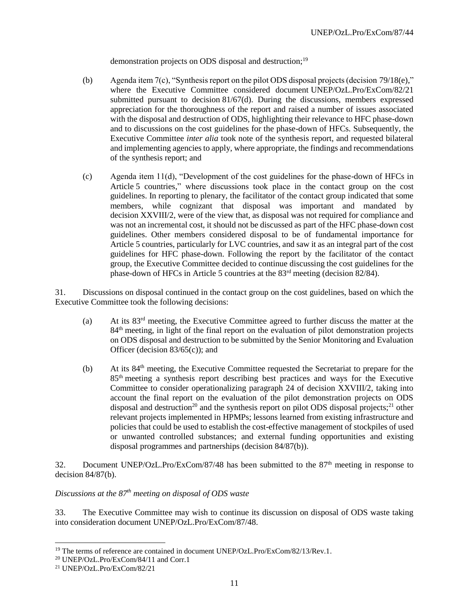demonstration projects on ODS disposal and destruction;<sup>19</sup>

- (b) Agenda item 7(c), "Synthesis report on the pilot ODS disposal projects (decision 79/18(e)," where the Executive Committee considered document UNEP/OzL.Pro/ExCom/82/21 submitted pursuant to decision 81/67(d). During the discussions, members expressed appreciation for the thoroughness of the report and raised a number of issues associated with the disposal and destruction of ODS, highlighting their relevance to HFC phase-down and to discussions on the cost guidelines for the phase-down of HFCs. Subsequently, the Executive Committee *inter alia* took note of the synthesis report, and requested bilateral and implementing agencies to apply, where appropriate, the findings and recommendations of the synthesis report; and
- (c) Agenda item 11(d), "Development of the cost guidelines for the phase-down of HFCs in Article 5 countries," where discussions took place in the contact group on the cost guidelines. In reporting to plenary, the facilitator of the contact group indicated that some members, while cognizant that disposal was important and mandated by decision XXVIII/2, were of the view that, as disposal was not required for compliance and was not an incremental cost, it should not be discussed as part of the HFC phase-down cost guidelines. Other members considered disposal to be of fundamental importance for Article 5 countries, particularly for LVC countries, and saw it as an integral part of the cost guidelines for HFC phase-down. Following the report by the facilitator of the contact group, the Executive Committee decided to continue discussing the cost guidelines for the phase-down of HFCs in Article 5 countries at the 83rd meeting (decision 82/84).

31. Discussions on disposal continued in the contact group on the cost guidelines, based on which the Executive Committee took the following decisions:

- (a) At its  $83<sup>rd</sup>$  meeting, the Executive Committee agreed to further discuss the matter at the 84<sup>th</sup> meeting, in light of the final report on the evaluation of pilot demonstration projects on ODS disposal and destruction to be submitted by the Senior Monitoring and Evaluation Officer (decision 83/65(c)); and
- $(b)$  At its 84<sup>th</sup> meeting, the Executive Committee requested the Secretariat to prepare for the 85<sup>th</sup> meeting a synthesis report describing best practices and ways for the Executive Committee to consider operationalizing paragraph 24 of decision XXVIII/2, taking into account the final report on the evaluation of the pilot demonstration projects on ODS disposal and destruction<sup>20</sup> and the synthesis report on pilot ODS disposal projects;<sup>21</sup> other relevant projects implemented in HPMPs; lessons learned from existing infrastructure and policies that could be used to establish the cost-effective management of stockpiles of used or unwanted controlled substances; and external funding opportunities and existing disposal programmes and partnerships (decision 84/87(b)).

32. Document UNEP/OzL.Pro/ExCom/87/48 has been submitted to the 87<sup>th</sup> meeting in response to decision  $84/87(b)$ .

## *Discussions at the 87 th meeting on disposal of ODS waste*

33. The Executive Committee may wish to continue its discussion on disposal of ODS waste taking into consideration document UNEP/OzL.Pro/ExCom/87/48.

l

<sup>&</sup>lt;sup>19</sup> The terms of reference are contained in document UNEP/OzL.Pro/ExCom/82/13/Rev.1.

<sup>20</sup> UNEP/OzL.Pro/ExCom/84/11 and Corr.1

<sup>21</sup> UNEP/OzL.Pro/ExCom/82/21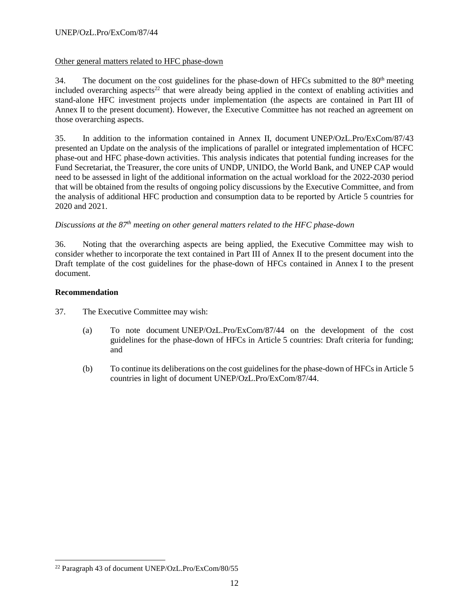## Other general matters related to HFC phase-down

34. The document on the cost guidelines for the phase-down of HFCs submitted to the  $80<sup>th</sup>$  meeting included overarching aspects<sup>22</sup> that were already being applied in the context of enabling activities and stand-alone HFC investment projects under implementation (the aspects are contained in Part III of Annex II to the present document). However, the Executive Committee has not reached an agreement on those overarching aspects.

35. In addition to the information contained in Annex II, document UNEP/OzL.Pro/ExCom/87/43 presented an Update on the analysis of the implications of parallel or integrated implementation of HCFC phase-out and HFC phase-down activities. This analysis indicates that potential funding increases for the Fund Secretariat, the Treasurer, the core units of UNDP, UNIDO, the World Bank, and UNEP CAP would need to be assessed in light of the additional information on the actual workload for the 2022-2030 period that will be obtained from the results of ongoing policy discussions by the Executive Committee, and from the analysis of additional HFC production and consumption data to be reported by Article 5 countries for 2020 and 2021.

## *Discussions at the 87 th meeting on other general matters related to the HFC phase-down*

36. Noting that the overarching aspects are being applied, the Executive Committee may wish to consider whether to incorporate the text contained in Part III of Annex II to the present document into the Draft template of the cost guidelines for the phase-down of HFCs contained in Annex I to the present document.

#### **Recommendation**

 $\overline{a}$ 

- 37. The Executive Committee may wish:
	- (a) To note document UNEP/OzL.Pro/ExCom/87/44 on the development of the cost guidelines for the phase-down of HFCs in Article 5 countries: Draft criteria for funding; and
	- (b) To continue its deliberations on the cost guidelines for the phase-down of HFCs in Article 5 countries in light of document UNEP/OzL.Pro/ExCom/87/44.

<sup>22</sup> Paragraph 43 of document UNEP/OzL.Pro/ExCom/80/55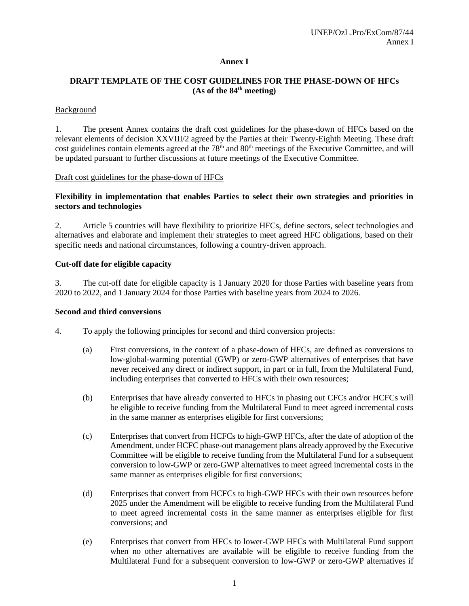## **Annex I**

## **DRAFT TEMPLATE OF THE COST GUIDELINES FOR THE PHASE-DOWN OF HFCs (As of the 84th meeting)**

#### **Background**

1. The present Annex contains the draft cost guidelines for the phase-down of HFCs based on the relevant elements of decision XXVIII/2 agreed by the Parties at their Twenty-Eighth Meeting. These draft cost guidelines contain elements agreed at the 78<sup>th</sup> and 80<sup>th</sup> meetings of the Executive Committee, and will be updated pursuant to further discussions at future meetings of the Executive Committee.

## Draft cost guidelines for the phase-down of HFCs

## **Flexibility in implementation that enables Parties to select their own strategies and priorities in sectors and technologies**

2. Article 5 countries will have flexibility to prioritize HFCs, define sectors, select technologies and alternatives and elaborate and implement their strategies to meet agreed HFC obligations, based on their specific needs and national circumstances, following a country-driven approach.

#### **Cut-off date for eligible capacity**

3. The cut-off date for eligible capacity is 1 January 2020 for those Parties with baseline years from 2020 to 2022, and 1 January 2024 for those Parties with baseline years from 2024 to 2026.

#### **Second and third conversions**

4. To apply the following principles for second and third conversion projects:

- (a) First conversions, in the context of a phase-down of HFCs, are defined as conversions to low-global-warming potential (GWP) or zero-GWP alternatives of enterprises that have never received any direct or indirect support, in part or in full, from the Multilateral Fund, including enterprises that converted to HFCs with their own resources;
- (b) Enterprises that have already converted to HFCs in phasing out CFCs and/or HCFCs will be eligible to receive funding from the Multilateral Fund to meet agreed incremental costs in the same manner as enterprises eligible for first conversions;
- (c) Enterprises that convert from HCFCs to high-GWP HFCs, after the date of adoption of the Amendment, under HCFC phase-out management plans already approved by the Executive Committee will be eligible to receive funding from the Multilateral Fund for a subsequent conversion to low-GWP or zero-GWP alternatives to meet agreed incremental costs in the same manner as enterprises eligible for first conversions;
- (d) Enterprises that convert from HCFCs to high-GWP HFCs with their own resources before 2025 under the Amendment will be eligible to receive funding from the Multilateral Fund to meet agreed incremental costs in the same manner as enterprises eligible for first conversions; and
- (e) Enterprises that convert from HFCs to lower-GWP HFCs with Multilateral Fund support when no other alternatives are available will be eligible to receive funding from the Multilateral Fund for a subsequent conversion to low-GWP or zero-GWP alternatives if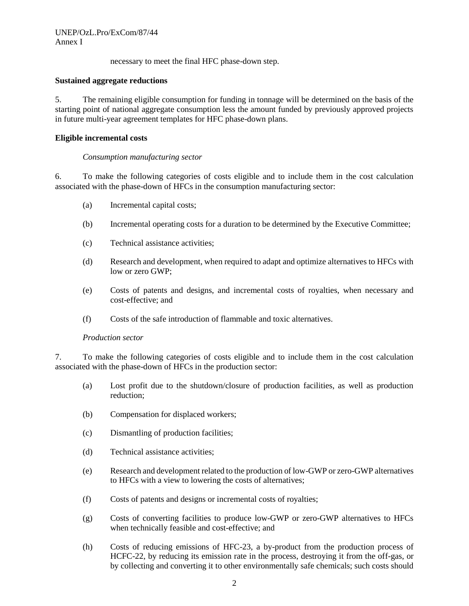necessary to meet the final HFC phase-down step.

#### **Sustained aggregate reductions**

5. The remaining eligible consumption for funding in tonnage will be determined on the basis of the starting point of national aggregate consumption less the amount funded by previously approved projects in future multi-year agreement templates for HFC phase-down plans.

#### **Eligible incremental costs**

#### *Consumption manufacturing sector*

6. To make the following categories of costs eligible and to include them in the cost calculation associated with the phase-down of HFCs in the consumption manufacturing sector:

- (a) Incremental capital costs;
- (b) Incremental operating costs for a duration to be determined by the Executive Committee;
- (c) Technical assistance activities;
- (d) Research and development, when required to adapt and optimize alternatives to HFCs with low or zero GWP;
- (e) Costs of patents and designs, and incremental costs of royalties, when necessary and cost-effective; and
- (f) Costs of the safe introduction of flammable and toxic alternatives.

#### *Production sector*

7. To make the following categories of costs eligible and to include them in the cost calculation associated with the phase-down of HFCs in the production sector:

- (a) Lost profit due to the shutdown/closure of production facilities, as well as production reduction;
- (b) Compensation for displaced workers;
- (c) Dismantling of production facilities;
- (d) Technical assistance activities;
- (e) Research and development related to the production of low-GWP or zero-GWP alternatives to HFCs with a view to lowering the costs of alternatives;
- (f) Costs of patents and designs or incremental costs of royalties;
- (g) Costs of converting facilities to produce low-GWP or zero-GWP alternatives to HFCs when technically feasible and cost-effective; and
- (h) Costs of reducing emissions of HFC-23, a by-product from the production process of HCFC-22, by reducing its emission rate in the process, destroying it from the off-gas, or by collecting and converting it to other environmentally safe chemicals; such costs should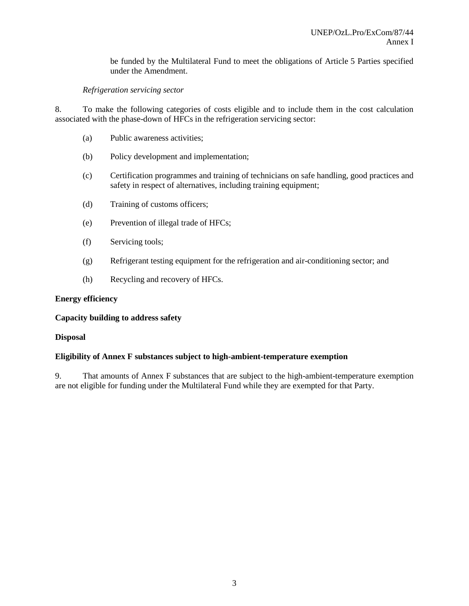be funded by the Multilateral Fund to meet the obligations of Article 5 Parties specified under the Amendment.

## *Refrigeration servicing sector*

8. To make the following categories of costs eligible and to include them in the cost calculation associated with the phase-down of HFCs in the refrigeration servicing sector:

- (a) Public awareness activities;
- (b) Policy development and implementation;
- (c) Certification programmes and training of technicians on safe handling, good practices and safety in respect of alternatives, including training equipment;
- (d) Training of customs officers;
- (e) Prevention of illegal trade of HFCs;
- (f) Servicing tools;
- (g) Refrigerant testing equipment for the refrigeration and air-conditioning sector; and
- (h) Recycling and recovery of HFCs.

#### **Energy efficiency**

#### **Capacity building to address safety**

#### **Disposal**

#### **Eligibility of Annex F substances subject to high-ambient-temperature exemption**

9. That amounts of Annex F substances that are subject to the high-ambient-temperature exemption are not eligible for funding under the Multilateral Fund while they are exempted for that Party.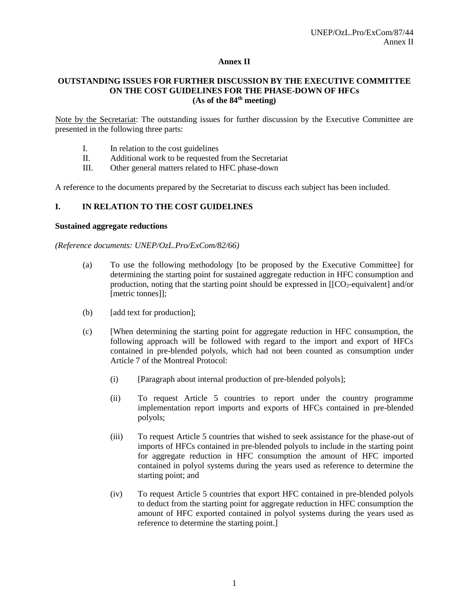#### **Annex II**

#### **OUTSTANDING ISSUES FOR FURTHER DISCUSSION BY THE EXECUTIVE COMMITTEE ON THE COST GUIDELINES FOR THE PHASE-DOWN OF HFCs (As of the 84th meeting)**

Note by the Secretariat: The outstanding issues for further discussion by the Executive Committee are presented in the following three parts:

- I. In relation to the cost guidelines
- II. Additional work to be requested from the Secretariat
- III. Other general matters related to HFC phase-down

A reference to the documents prepared by the Secretariat to discuss each subject has been included.

#### **I. IN RELATION TO THE COST GUIDELINES**

#### **Sustained aggregate reductions**

*(Reference documents: UNEP/OzL.Pro/ExCom/82/66)*

- (a) To use the following methodology [to be proposed by the Executive Committee] for determining the starting point for sustained aggregate reduction in HFC consumption and production, noting that the starting point should be expressed in  $[\text{[CO}_2$-equivariant]$  and/or [metric tonnes]];
- (b) [add text for production];
- (c) [When determining the starting point for aggregate reduction in HFC consumption, the following approach will be followed with regard to the import and export of HFCs contained in pre-blended polyols, which had not been counted as consumption under Article 7 of the Montreal Protocol:
	- (i) [Paragraph about internal production of pre-blended polyols];
	- (ii) To request Article 5 countries to report under the country programme implementation report imports and exports of HFCs contained in pre-blended polyols;
	- (iii) To request Article 5 countries that wished to seek assistance for the phase-out of imports of HFCs contained in pre-blended polyols to include in the starting point for aggregate reduction in HFC consumption the amount of HFC imported contained in polyol systems during the years used as reference to determine the starting point; and
	- (iv) To request Article 5 countries that export HFC contained in pre-blended polyols to deduct from the starting point for aggregate reduction in HFC consumption the amount of HFC exported contained in polyol systems during the years used as reference to determine the starting point.]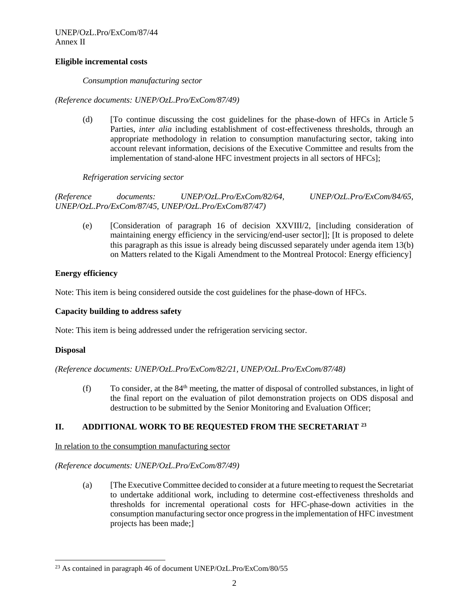UNEP/OzL.Pro/ExCom/87/44 Annex II

#### **Eligible incremental costs**

*Consumption manufacturing sector*

*(Reference documents: UNEP/OzL.Pro/ExCom/87/49)*

(d) [To continue discussing the cost guidelines for the phase-down of HFCs in Article 5 Parties, *inter alia* including establishment of cost-effectiveness thresholds, through an appropriate methodology in relation to consumption manufacturing sector, taking into account relevant information, decisions of the Executive Committee and results from the implementation of stand-alone HFC investment projects in all sectors of HFCs];

*Refrigeration servicing sector*

*(Reference documents: UNEP/OzL.Pro/ExCom/82/64, UNEP/OzL.Pro/ExCom/84/65, UNEP/OzL.Pro/ExCom/87/45, UNEP/OzL.Pro/ExCom/87/47)*

(e) [Consideration of paragraph 16 of decision XXVIII/2, [including consideration of maintaining energy efficiency in the servicing/end-user sector]]; [It is proposed to delete this paragraph as this issue is already being discussed separately under agenda item 13(b) on Matters related to the Kigali Amendment to the Montreal Protocol: Energy efficiency]

## **Energy efficiency**

Note: This item is being considered outside the cost guidelines for the phase-down of HFCs.

#### **Capacity building to address safety**

Note: This item is being addressed under the refrigeration servicing sector.

#### **Disposal**

 $\overline{a}$ 

*(Reference documents: UNEP/OzL.Pro/ExCom/82/21, UNEP/OzL.Pro/ExCom/87/48)*

(f) To consider, at the  $84<sup>th</sup>$  meeting, the matter of disposal of controlled substances, in light of the final report on the evaluation of pilot demonstration projects on ODS disposal and destruction to be submitted by the Senior Monitoring and Evaluation Officer;

## **II. ADDITIONAL WORK TO BE REQUESTED FROM THE SECRETARIAT <sup>23</sup>**

In relation to the consumption manufacturing sector

*(Reference documents: UNEP/OzL.Pro/ExCom/87/49)*

(a) [The Executive Committee decided to consider at a future meeting to request the Secretariat to undertake additional work, including to determine cost-effectiveness thresholds and thresholds for incremental operational costs for HFC-phase-down activities in the consumption manufacturing sector once progress in the implementation of HFC investment projects has been made;]

 $^{23}$  As contained in paragraph 46 of document UNEP/OzL.Pro/ExCom/80/55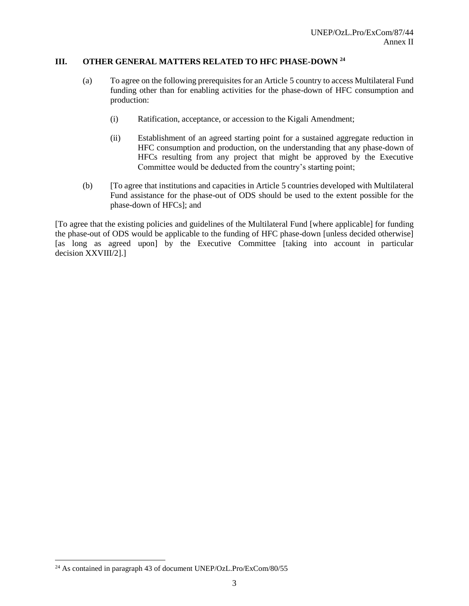## **III. OTHER GENERAL MATTERS RELATED TO HFC PHASE-DOWN <sup>24</sup>**

- (a) To agree on the following prerequisites for an Article 5 country to access Multilateral Fund funding other than for enabling activities for the phase-down of HFC consumption and production:
	- (i) Ratification, acceptance, or accession to the Kigali Amendment;
	- (ii) Establishment of an agreed starting point for a sustained aggregate reduction in HFC consumption and production, on the understanding that any phase-down of HFCs resulting from any project that might be approved by the Executive Committee would be deducted from the country's starting point;
- (b) [To agree that institutions and capacities in Article 5 countries developed with Multilateral Fund assistance for the phase-out of ODS should be used to the extent possible for the phase-down of HFCs]; and

[To agree that the existing policies and guidelines of the Multilateral Fund [where applicable] for funding the phase-out of ODS would be applicable to the funding of HFC phase-down [unless decided otherwise] [as long as agreed upon] by the Executive Committee [taking into account in particular decision XXVIII/2].]

 $\overline{a}$ 

 $^{24}$  As contained in paragraph 43 of document UNEP/OzL.Pro/ExCom/80/55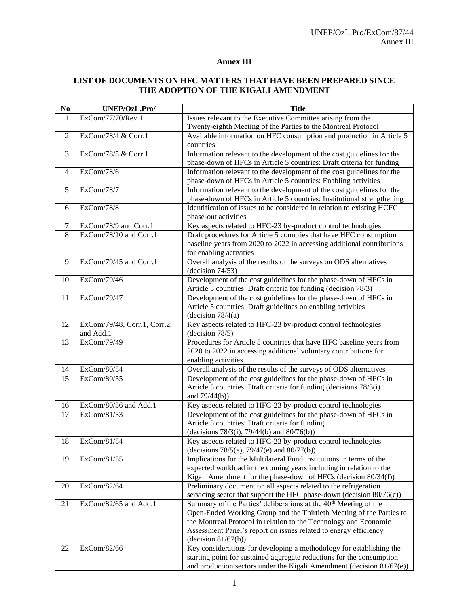## **Annex III**

#### **LIST OF DOCUMENTS ON HFC MATTERS THAT HAVE BEEN PREPARED SINCE THE ADOPTION OF THE KIGALI AMENDMENT**

| No             | UNEP/OzL.Pro/                | <b>Title</b>                                                                                                                                  |
|----------------|------------------------------|-----------------------------------------------------------------------------------------------------------------------------------------------|
| $\mathbf{1}$   | ExCom/77/70/Rev.1            | Issues relevant to the Executive Committee arising from the                                                                                   |
|                |                              | Twenty-eighth Meeting of the Parties to the Montreal Protocol                                                                                 |
| $\overline{2}$ | ExCom/78/4 & Corr.1          | Available information on HFC consumption and production in Article 5                                                                          |
|                |                              | countries                                                                                                                                     |
| 3              | ExCom/78/5 & Corr.1          | Information relevant to the development of the cost guidelines for the                                                                        |
|                |                              | phase-down of HFCs in Article 5 countries: Draft criteria for funding                                                                         |
| $\overline{4}$ | ExCom/78/6                   | Information relevant to the development of the cost guidelines for the                                                                        |
|                |                              | phase-down of HFCs in Article 5 countries: Enabling activities                                                                                |
| 5              | ExCom/78/7                   | Information relevant to the development of the cost guidelines for the                                                                        |
|                |                              | phase-down of HFCs in Article 5 countries: Institutional strengthening                                                                        |
| 6              | ExCom/78/8                   | Identification of issues to be considered in relation to existing HCFC                                                                        |
|                |                              | phase-out activities                                                                                                                          |
| $\tau$         | ExCom/78/9 and Corr.1        | Key aspects related to HFC-23 by-product control technologies                                                                                 |
| 8              | ExCom/78/10 and Corr.1       | Draft procedures for Article 5 countries that have HFC consumption                                                                            |
|                |                              | baseline years from 2020 to 2022 in accessing additional contributions                                                                        |
|                |                              | for enabling activities                                                                                                                       |
| 9              | ExCom/79/45 and Corr.1       | Overall analysis of the results of the surveys on ODS alternatives                                                                            |
|                |                              | (decision 74/53)                                                                                                                              |
| 10             | ExCom/79/46                  | Development of the cost guidelines for the phase-down of HFCs in                                                                              |
|                |                              | Article 5 countries: Draft criteria for funding (decision 78/3)                                                                               |
| 11             | ExCom/79/47                  | Development of the cost guidelines for the phase-down of HFCs in                                                                              |
|                |                              | Article 5 countries: Draft guidelines on enabling activities                                                                                  |
|                |                              | (decision $78/4(a)$                                                                                                                           |
| 12             | ExCom/79/48, Corr.1, Corr.2, | Key aspects related to HFC-23 by-product control technologies                                                                                 |
|                | and Add.1                    | $-decision 78/5)$                                                                                                                             |
| 13             | ExCom/79/49                  | Procedures for Article 5 countries that have HFC baseline years from                                                                          |
|                |                              | 2020 to 2022 in accessing additional voluntary contributions for                                                                              |
|                |                              | enabling activities                                                                                                                           |
| 14             | ExCom/80/54                  | Overall analysis of the results of the surveys of ODS alternatives                                                                            |
| 15             | ExCom/80/55                  | Development of the cost guidelines for the phase-down of HFCs in                                                                              |
|                |                              | Article 5 countries: Draft criteria for funding (decisions 78/3(i)                                                                            |
|                |                              | and $79/44(b)$ )                                                                                                                              |
| 16             | ExCom/80/56 and Add.1        | Key aspects related to HFC-23 by-product control technologies                                                                                 |
| 17             | ExCom/81/53                  | Development of the cost guidelines for the phase-down of HFCs in                                                                              |
|                |                              | Article 5 countries: Draft criteria for funding                                                                                               |
|                | ExCom/81/54                  | (decisions $78/3(i)$ , $79/44(b)$ and $80/76(b)$ )                                                                                            |
| 18             |                              | Key aspects related to HFC-23 by-product control technologies<br>(decisions 78/5(e), 79/47(e) and 80/77(b))                                   |
| 19             | ExCom/81/55                  | Implications for the Multilateral Fund institutions in terms of the                                                                           |
|                |                              | expected workload in the coming years including in relation to the                                                                            |
|                |                              | Kigali Amendment for the phase-down of HFCs (decision 80/34(f))                                                                               |
|                | ExCom/82/64                  |                                                                                                                                               |
| 20             |                              | Preliminary document on all aspects related to the refrigeration<br>servicing sector that support the HFC phase-down (decision 80/76(c))      |
| 21             | ExCom/82/65 and Add.1        | Summary of the Parties' deliberations at the 40 <sup>th</sup> Meeting of the                                                                  |
|                |                              | Open-Ended Working Group and the Thirtieth Meeting of the Parties to                                                                          |
|                |                              | the Montreal Protocol in relation to the Technology and Economic                                                                              |
|                |                              |                                                                                                                                               |
|                |                              | Assessment Panel's report on issues related to energy efficiency                                                                              |
| 22             | ExCom/82/66                  | (decision 81/67(b))                                                                                                                           |
|                |                              | Key considerations for developing a methodology for establishing the<br>starting point for sustained aggregate reductions for the consumption |
|                |                              |                                                                                                                                               |
|                |                              | and production sectors under the Kigali Amendment (decision 81/67(e))                                                                         |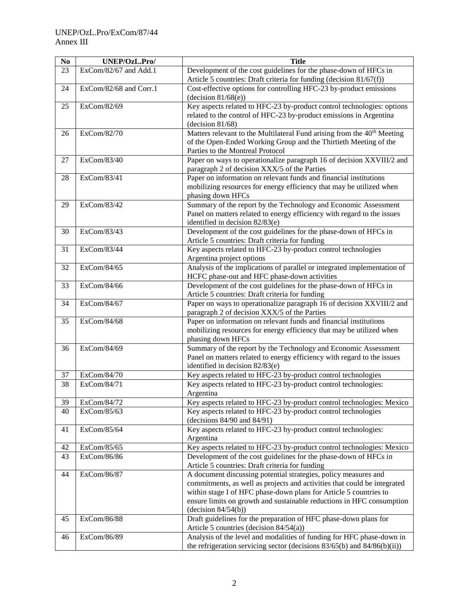| N <sub>0</sub> | UNEP/OzL.Pro/          | <b>Title</b>                                                                        |
|----------------|------------------------|-------------------------------------------------------------------------------------|
| 23             | ExCom/82/67 and Add.1  | Development of the cost guidelines for the phase-down of HFCs in                    |
|                |                        | Article 5 countries: Draft criteria for funding (decision 81/67(f))                 |
| 24             | ExCom/82/68 and Corr.1 | Cost-effective options for controlling HFC-23 by-product emissions                  |
|                |                        | (decision 81/68(e))                                                                 |
| 25             | ExCom/82/69            | Key aspects related to HFC-23 by-product control technologies: options              |
|                |                        | related to the control of HFC-23 by-product emissions in Argentina                  |
|                |                        | (decision $81/68$ )                                                                 |
| 26             | ExCom/82/70            | Matters relevant to the Multilateral Fund arising from the 40 <sup>th</sup> Meeting |
|                |                        | of the Open-Ended Working Group and the Thirtieth Meeting of the                    |
|                |                        | Parties to the Montreal Protocol                                                    |
| 27             | ExCom/83/40            | Paper on ways to operationalize paragraph 16 of decision XXVIII/2 and               |
|                |                        | paragraph 2 of decision XXX/5 of the Parties                                        |
|                |                        |                                                                                     |
| 28             | ExCom/83/41            | Paper on information on relevant funds and financial institutions                   |
|                |                        | mobilizing resources for energy efficiency that may be utilized when                |
|                |                        | phasing down HFCs                                                                   |
| 29             | ExCom/83/42            | Summary of the report by the Technology and Economic Assessment                     |
|                |                        | Panel on matters related to energy efficiency with regard to the issues             |
|                |                        | identified in decision 82/83(e)                                                     |
| 30             | ExCom/83/43            | Development of the cost guidelines for the phase-down of HFCs in                    |
|                |                        | Article 5 countries: Draft criteria for funding                                     |
| 31             | ExCom/83/44            | Key aspects related to HFC-23 by-product control technologies                       |
|                |                        | Argentina project options                                                           |
| 32             | ExCom/84/65            | Analysis of the implications of parallel or integrated implementation of            |
|                |                        | HCFC phase-out and HFC phase-down activities                                        |
| 33             | ExCom/84/66            | Development of the cost guidelines for the phase-down of HFCs in                    |
|                |                        | Article 5 countries: Draft criteria for funding                                     |
| 34             | ExCom/84/67            | Paper on ways to operationalize paragraph 16 of decision XXVIII/2 and               |
|                |                        | paragraph 2 of decision XXX/5 of the Parties                                        |
| 35             | ExCom/84/68            | Paper on information on relevant funds and financial institutions                   |
|                |                        | mobilizing resources for energy efficiency that may be utilized when                |
|                |                        | phasing down HFCs                                                                   |
| 36             | ExCom/84/69            | Summary of the report by the Technology and Economic Assessment                     |
|                |                        | Panel on matters related to energy efficiency with regard to the issues             |
|                |                        | identified in decision 82/83(e)                                                     |
| 37             | ExCom/84/70            | Key aspects related to HFC-23 by-product control technologies                       |
| 38             | ExCom/84/71            | Key aspects related to HFC-23 by-product control technologies:                      |
|                |                        | Argentina                                                                           |
| 39             | ExCom/84/72            | Key aspects related to HFC-23 by-product control technologies: Mexico               |
| 40             | ExCom/85/63            | Key aspects related to HFC-23 by-product control technologies                       |
|                |                        | (decisions 84/90 and 84/91)                                                         |
| 41             | ExCom/85/64            | Key aspects related to HFC-23 by-product control technologies:                      |
|                |                        | Argentina                                                                           |
| 42             | ExCom/85/65            | Key aspects related to HFC-23 by-product control technologies: Mexico               |
| 43             | ExCom/86/86            | Development of the cost guidelines for the phase-down of HFCs in                    |
|                |                        | Article 5 countries: Draft criteria for funding                                     |
| 44             | ExCom/86/87            | A document discussing potential strategies, policy measures and                     |
|                |                        | commitments, as well as projects and activities that could be integrated            |
|                |                        | within stage I of HFC phase-down plans for Article 5 countries to                   |
|                |                        | ensure limits on growth and sustainable reductions in HFC consumption               |
|                |                        | (decision 84/54(b))                                                                 |
| 45             | ExCom/86/88            | Draft guidelines for the preparation of HFC phase-down plans for                    |
|                |                        | Article 5 countries (decision $84/54(a)$ )                                          |
| 46             | ExCom/86/89            | Analysis of the level and modalities of funding for HFC phase-down in               |
|                |                        | the refrigeration servicing sector (decisions 83/65(b) and 84/86(b)(ii))            |